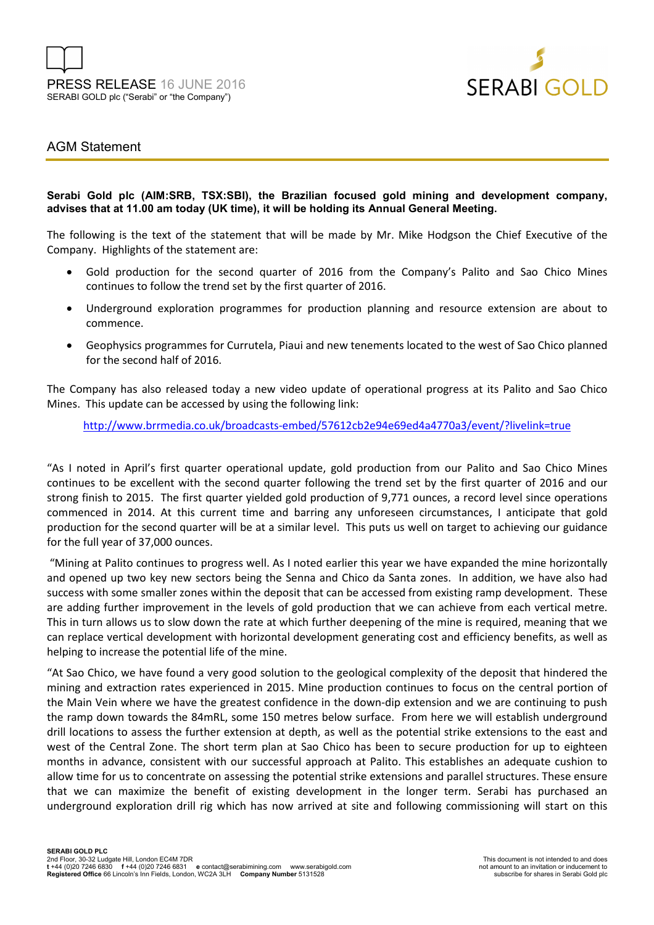



## AGM Statement

## **Serabi Gold plc (AIM:SRB, TSX:SBI), the Brazilian focused gold mining and development company, advises that at 11.00 am today (UK time), it will be holding its Annual General Meeting.**

The following is the text of the statement that will be made by Mr. Mike Hodgson the Chief Executive of the Company. Highlights of the statement are:

- Gold production for the second quarter of 2016 from the Company's Palito and Sao Chico Mines continues to follow the trend set by the first quarter of 2016.
- Underground exploration programmes for production planning and resource extension are about to commence.
- Geophysics programmes for Currutela, Piaui and new tenements located to the west of Sao Chico planned for the second half of 2016.

The Company has also released today a new video update of operational progress at its Palito and Sao Chico Mines. This update can be accessed by using the following link:

http://www.brrmedia.co.uk/broadcasts-embed/57612cb2e94e69ed4a4770a3/event/?livelink=true

"As I noted in April's first quarter operational update, gold production from our Palito and Sao Chico Mines continues to be excellent with the second quarter following the trend set by the first quarter of 2016 and our strong finish to 2015. The first quarter yielded gold production of 9,771 ounces, a record level since operations commenced in 2014. At this current time and barring any unforeseen circumstances, I anticipate that gold production for the second quarter will be at a similar level. This puts us well on target to achieving our guidance for the full year of 37,000 ounces.

 "Mining at Palito continues to progress well. As I noted earlier this year we have expanded the mine horizontally and opened up two key new sectors being the Senna and Chico da Santa zones. In addition, we have also had success with some smaller zones within the deposit that can be accessed from existing ramp development. These are adding further improvement in the levels of gold production that we can achieve from each vertical metre. This in turn allows us to slow down the rate at which further deepening of the mine is required, meaning that we can replace vertical development with horizontal development generating cost and efficiency benefits, as well as helping to increase the potential life of the mine.

"At Sao Chico, we have found a very good solution to the geological complexity of the deposit that hindered the mining and extraction rates experienced in 2015. Mine production continues to focus on the central portion of the Main Vein where we have the greatest confidence in the down-dip extension and we are continuing to push the ramp down towards the 84mRL, some 150 metres below surface. From here we will establish underground drill locations to assess the further extension at depth, as well as the potential strike extensions to the east and west of the Central Zone. The short term plan at Sao Chico has been to secure production for up to eighteen months in advance, consistent with our successful approach at Palito. This establishes an adequate cushion to allow time for us to concentrate on assessing the potential strike extensions and parallel structures. These ensure that we can maximize the benefit of existing development in the longer term. Serabi has purchased an underground exploration drill rig which has now arrived at site and following commissioning will start on this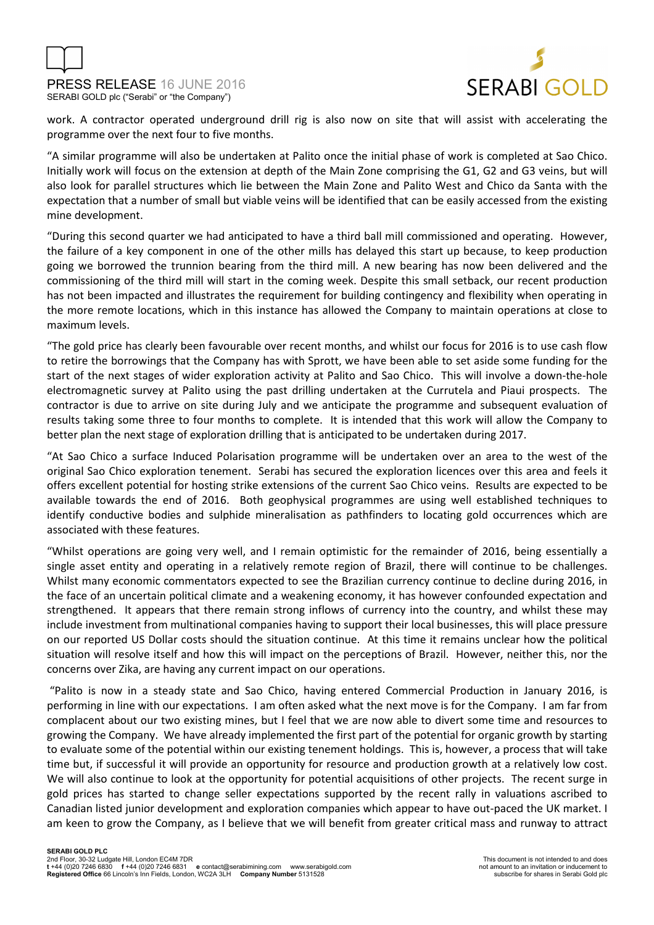



work. A contractor operated underground drill rig is also now on site that will assist with accelerating the programme over the next four to five months.

"A similar programme will also be undertaken at Palito once the initial phase of work is completed at Sao Chico. Initially work will focus on the extension at depth of the Main Zone comprising the G1, G2 and G3 veins, but will also look for parallel structures which lie between the Main Zone and Palito West and Chico da Santa with the expectation that a number of small but viable veins will be identified that can be easily accessed from the existing mine development.

"During this second quarter we had anticipated to have a third ball mill commissioned and operating. However, the failure of a key component in one of the other mills has delayed this start up because, to keep production going we borrowed the trunnion bearing from the third mill. A new bearing has now been delivered and the commissioning of the third mill will start in the coming week. Despite this small setback, our recent production has not been impacted and illustrates the requirement for building contingency and flexibility when operating in the more remote locations, which in this instance has allowed the Company to maintain operations at close to maximum levels.

"The gold price has clearly been favourable over recent months, and whilst our focus for 2016 is to use cash flow to retire the borrowings that the Company has with Sprott, we have been able to set aside some funding for the start of the next stages of wider exploration activity at Palito and Sao Chico. This will involve a down-the-hole electromagnetic survey at Palito using the past drilling undertaken at the Currutela and Piaui prospects. The contractor is due to arrive on site during July and we anticipate the programme and subsequent evaluation of results taking some three to four months to complete. It is intended that this work will allow the Company to better plan the next stage of exploration drilling that is anticipated to be undertaken during 2017.

"At Sao Chico a surface Induced Polarisation programme will be undertaken over an area to the west of the original Sao Chico exploration tenement. Serabi has secured the exploration licences over this area and feels it offers excellent potential for hosting strike extensions of the current Sao Chico veins. Results are expected to be available towards the end of 2016. Both geophysical programmes are using well established techniques to identify conductive bodies and sulphide mineralisation as pathfinders to locating gold occurrences which are associated with these features.

"Whilst operations are going very well, and I remain optimistic for the remainder of 2016, being essentially a single asset entity and operating in a relatively remote region of Brazil, there will continue to be challenges. Whilst many economic commentators expected to see the Brazilian currency continue to decline during 2016, in the face of an uncertain political climate and a weakening economy, it has however confounded expectation and strengthened. It appears that there remain strong inflows of currency into the country, and whilst these may include investment from multinational companies having to support their local businesses, this will place pressure on our reported US Dollar costs should the situation continue. At this time it remains unclear how the political situation will resolve itself and how this will impact on the perceptions of Brazil. However, neither this, nor the concerns over Zika, are having any current impact on our operations.

 "Palito is now in a steady state and Sao Chico, having entered Commercial Production in January 2016, is performing in line with our expectations. I am often asked what the next move is for the Company. I am far from complacent about our two existing mines, but I feel that we are now able to divert some time and resources to growing the Company. We have already implemented the first part of the potential for organic growth by starting to evaluate some of the potential within our existing tenement holdings. This is, however, a process that will take time but, if successful it will provide an opportunity for resource and production growth at a relatively low cost. We will also continue to look at the opportunity for potential acquisitions of other projects. The recent surge in gold prices has started to change seller expectations supported by the recent rally in valuations ascribed to Canadian listed junior development and exploration companies which appear to have out-paced the UK market. I am keen to grow the Company, as I believe that we will benefit from greater critical mass and runway to attract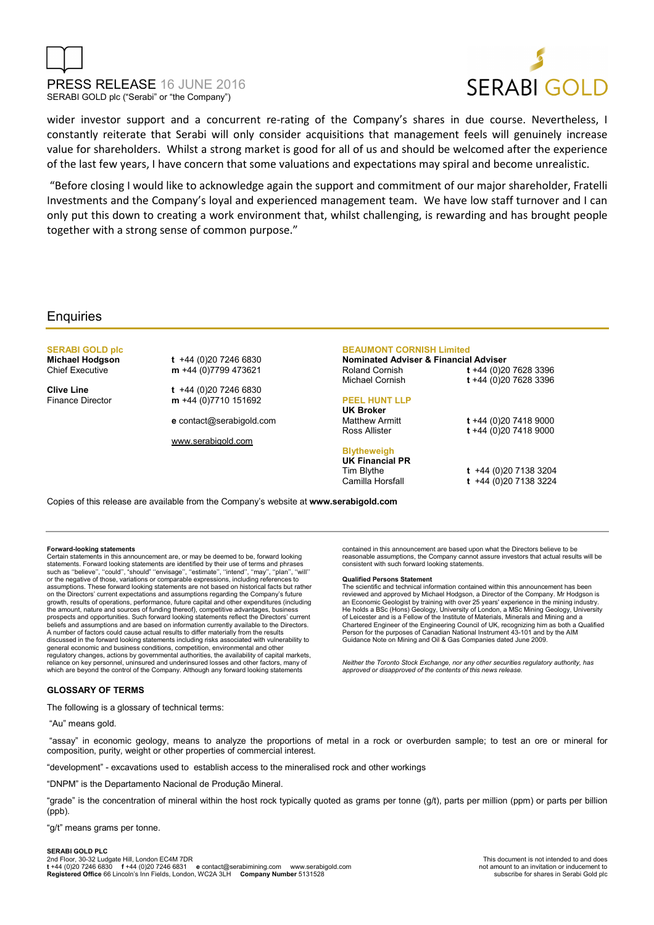



wider investor support and a concurrent re-rating of the Company's shares in due course. Nevertheless, I constantly reiterate that Serabi will only consider acquisitions that management feels will genuinely increase value for shareholders. Whilst a strong market is good for all of us and should be welcomed after the experience of the last few years, I have concern that some valuations and expectations may spiral and become unrealistic.

 "Before closing I would like to acknowledge again the support and commitment of our major shareholder, Fratelli Investments and the Company's loyal and experienced management team. We have low staff turnover and I can only put this down to creating a work environment that, whilst challenging, is rewarding and has brought people together with a strong sense of common purpose."

## **Enquiries**

# **SERABI GOLD plc**

**Michael Hodgson t** +44 (0)20 7246 6830<br>Chief Executive **m** +44 (0)7799 473621 m +44 (0)7799 473621

**Clive Line t** +44 (0)20 7246 6830 Finance Director **m** +44 (0)7710 151692

**e** contact@serabigold.com

www.serabigold.com

## **BEAUMONT CORNISH Limited**

**Nominated Adviser & Financial Adviser**  Roland Cornish **t** +44 (0)20 7628 3396

### **PEEL HUNT LLP**

**UK Broker**

## **Blytheweigh UK Financial PR**

Tim Blythe **t** +44 (0)20 7138 3204

**Qualified Persons Statement** 

Michael Cornish **t** +44 (0)20 7628 3396

### Matthew Armitt **t** +44 (0)20 7418 9000 Ross Allister **t** +44 (0)20 7418 9000

Camilla Horsfall **t** +44 (0)20 7138 3224

contained in this announcement are based upon what the Directors believe to be reasonable assumptions, the Company cannot assure investors that actual results will be consistent with such forward looking statements.

The scientific and technical information contained within this announcement has been<br>reviewed and approved by Michael Hodgson, a Director of the Company. Mr Hodgson is<br>an Economic Geologist by training with over 25 years'

Chartered Engineer of the Engineering Council of UK, recognizing him as both a Qualified Person for the purposes of Canadian National Instrument 43-101 and by the AIM

*Neither the Toronto Stock Exchange, nor any other securities regulatory authority, has* 

Guidance Note on Mining and Oil & Gas Companies dated June 2009.

*approved or disapproved of the contents of this news release.*

Copies of this release are available from the Company's website at **www.serabigold.com** 

#### **Forward-looking statements**

Certain statements in this announcement are, or may be deemed to be, forward looking<br>statements. Forward looking statements are identified by their use of terms and phrases<br>such as "believe", "could", "should" "envisage", or the negative of those, variations or comparable expressions, including references to assumptions. These forward looking statements are not based on historical facts but rather on the Directors' current expectations and assumptions regarding the Company's future growth, results of operations, performance, future capital and other expenditures (including<br>the amount, nature and sources of funding thereof), competitive advantages, business<br>prospects and opportunities. Such forward lo beliefs and assumptions and are based on information currently available to the Directors. A number of factors could cause actual results to differ materially from the results discussed in the forward looking statements including risks associated with vulnerability to general economic and business conditions, competition, environmental and other regulatory changes, actions by governmental authorities, the availability of capital markets, reliance on key personnel, uninsured and underinsured losses and other factors, many of which are beyond the control of the Company. Although any forward looking statements

### **GLOSSARY OF TERMS**

The following is a glossary of technical terms:

"Au" means gold.

 "assay" in economic geology, means to analyze the proportions of metal in a rock or overburden sample; to test an ore or mineral for composition, purity, weight or other properties of commercial interest.

"development" - excavations used to establish access to the mineralised rock and other workings

"DNPM" is the Departamento Nacional de Produção Mineral.

"grade" is the concentration of mineral within the host rock typically quoted as grams per tonne (g/t), parts per million (ppm) or parts per billion (ppb).

"g/t" means grams per tonne.

#### **SERABI GOLD PLC**

2nd Floor, 30-32 Ludgate Hill, London EC4M 7DR<br>t +44 (0)20 7246 6830 f +44 (0)20 7246 6831 e contact@serabimining.com www.serabigold.com not amount to an invitation or inducement to **Registered Office** 66 Lincoln's Inn Fields, London, WC2A 3LH **Company Number** 5131528 subscribe for shares in Serabi Gold plc